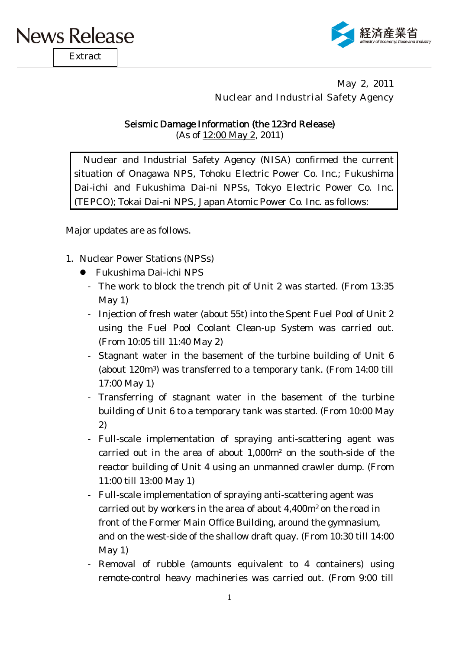

**Extract** 



May 2, 2011 Nuclear and Industrial Safety Agency

## Seismic Damage Information (the 123rd Release)

(As of 12:00 May 2, 2011)

Nuclear and Industrial Safety Agency (NISA) confirmed the current situation of Onagawa NPS, Tohoku Electric Power Co. Inc.; Fukushima Dai-ichi and Fukushima Dai-ni NPSs, Tokyo Electric Power Co. Inc. (TEPCO); Tokai Dai-ni NPS, Japan Atomic Power Co. Inc. as follows:

Major updates are as follows.

- 1. Nuclear Power Stations (NPSs)
	- Fukushima Dai-ichi NPS
		- The work to block the trench pit of Unit 2 was started. (From 13:35 May 1)
		- Injection of fresh water (about 55t) into the Spent Fuel Pool of Unit 2 using the Fuel Pool Coolant Clean-up System was carried out. (From 10:05 till 11:40 May 2)
		- Stagnant water in the basement of the turbine building of Unit 6 (about 120m3) was transferred to a temporary tank. (From 14:00 till 17:00 May 1)
		- Transferring of stagnant water in the basement of the turbine building of Unit 6 to a temporary tank was started. (From 10:00 May 2)
		- Full-scale implementation of spraying anti-scattering agent was carried out in the area of about 1,000m² on the south-side of the reactor building of Unit 4 using an unmanned crawler dump. (From 11:00 till 13:00 May 1)
		- Full-scale implementation of spraying anti-scattering agent was carried out by workers in the area of about 4,400m2 on the road in front of the Former Main Office Building, around the gymnasium, and on the west-side of the shallow draft quay. (From 10:30 till 14:00 May 1)
		- Removal of rubble (amounts equivalent to 4 containers) using remote-control heavy machineries was carried out. (From 9:00 till